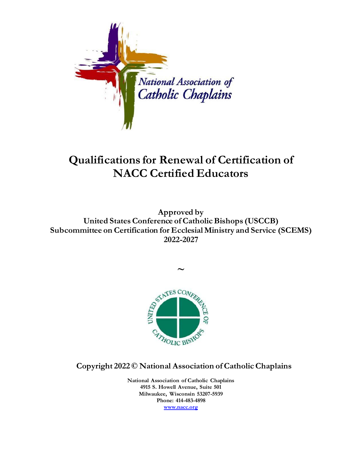

## **Qualifications for Renewal of Certification of NACC Certified Educators**

**Approved by United States Conference of Catholic Bishops (USCCB) Subcommittee on Certification for Ecclesial Ministry and Service (SCEMS) 2022-2027**

**~**



**Copyright 2022 © National Association of Catholic Chaplains**

**National Association of Catholic Chaplains 4915 S. Howell Avenue, Suite 501 Milwaukee, Wisconsin 53207-5939 Phone: 414-483-4898 [www.nacc.org](http://www.nacc.org/)**